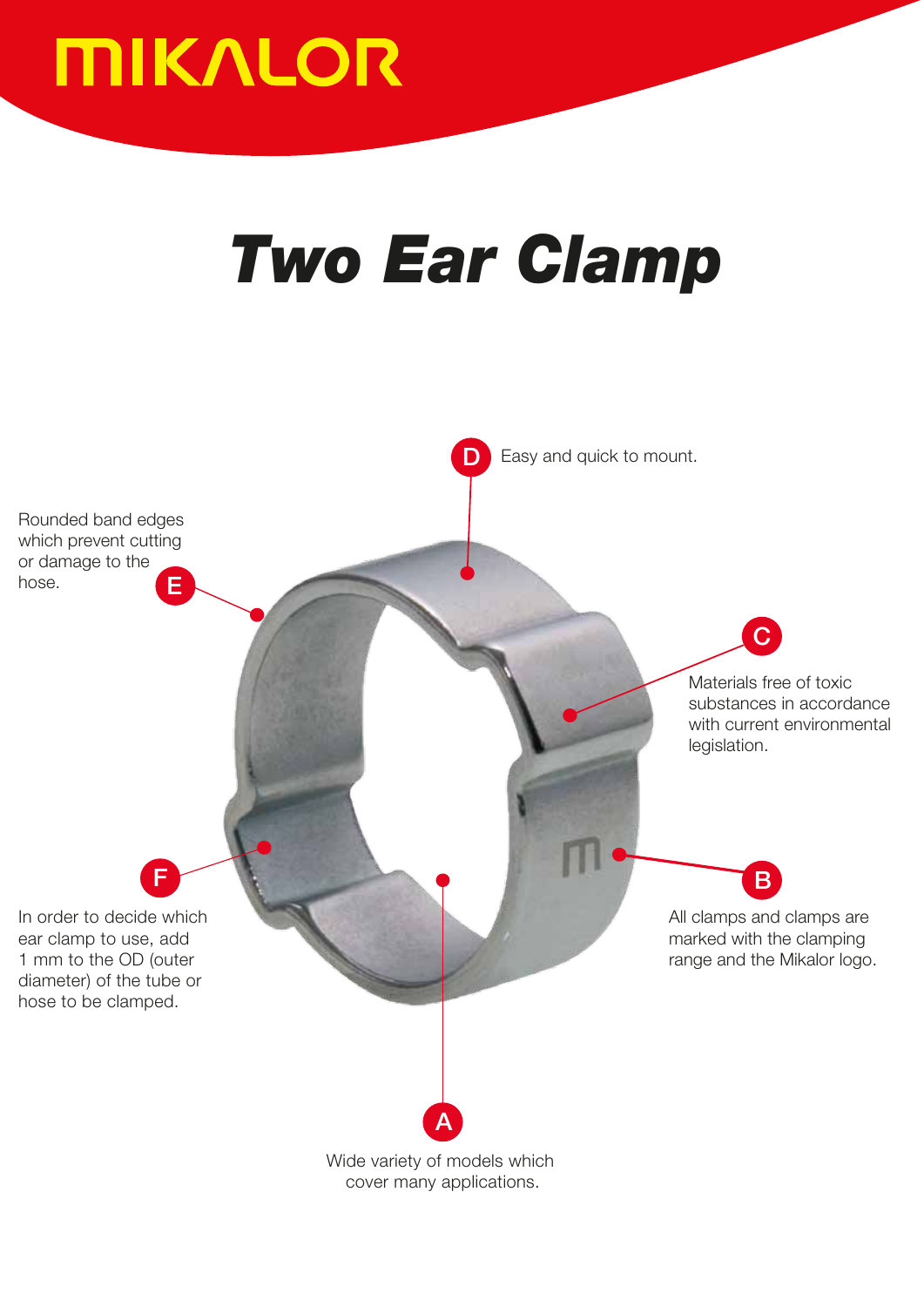

## *Two Ear Clamp*